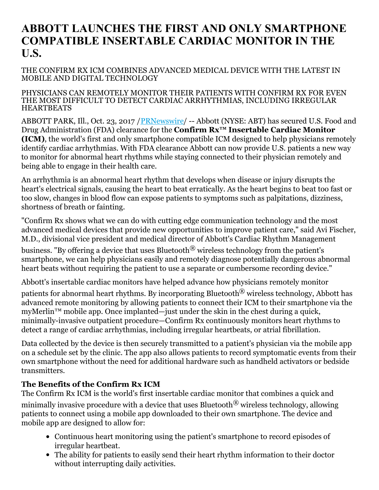# **ABBOTT LAUNCHES THE FIRST AND ONLY SMARTPHONE COMPATIBLE INSERTABLE CARDIAC MONITOR IN THE U.S.**

### THE CONFIRM RX ICM COMBINES ADVANCED MEDICAL DEVICE WITH THE LATEST IN MOBILE AND DIGITAL TECHNOLOGY

#### PHYSICIANS CAN REMOTELY MONITOR THEIR PATIENTS WITH CONFIRM RX FOR EVEN THE MOST DIFFICULT TO DETECT CARDIAC ARRHYTHMIAS, INCLUDING IRREGULAR HEARTBEATS

ABBOTT PARK, Ill., Oct. 23, 2017 / *[PRNewswire](http://www.prnewswire.com/)*/ -- Abbott (NYSE: ABT) has secured U.S. Food and Drug Administration (FDA) clearance for the **Confirm Rx™ Insertable Cardiac Monitor (ICM)**, the world's first and only smartphone compatible ICM designed to help physicians remotely identify cardiac arrhythmias. With FDA clearance Abbott can now provide U.S. patients a new way to monitor for abnormal heart rhythms while staying connected to their physician remotely and being able to engage in their health care.

An arrhythmia is an abnormal heart rhythm that develops when disease or injury disrupts the heart's electrical signals, causing the heart to beat erratically. As the heart begins to beat too fast or too slow, changes in blood flow can expose patients to symptoms such as palpitations, dizziness, shortness of breath or fainting.

"Confirm Rx shows what we can do with cutting edge communication technology and the most advanced medical devices that provide new opportunities to improve patient care," said Avi Fischer, M.D., divisional vice president and medical director of Abbott's Cardiac Rhythm Management

business. "By offering a device that uses Bluetooth® wireless technology from the patient's smartphone, we can help physicians easily and remotely diagnose potentially dangerous abnormal heart beats without requiring the patient to use a separate or cumbersome recording device."

Abbott's insertable cardiac monitors have helped advance how physicians remotely monitor patients for abnormal heart rhythms. By incorporating Bluetooth® wireless technology, Abbott has advanced remote monitoring by allowing patients to connect their ICM to their smartphone via the myMerlin<sup>™</sup> mobile app. Once implanted—just under the skin in the chest during a quick, minimally-invasive outpatient procedure—Confirm Rx continuously monitors heart rhythms to detect a range of cardiac arrhythmias, including irregular heartbeats, or atrial fibrillation.

Data collected by the device is then securely transmitted to a patient's physician via the mobile app on a schedule set by the clinic. The app also allows patients to record symptomatic events from their own smartphone without the need for additional hardware such as handheld activators or bedside transmitters.

# **The Benefits of the Confirm Rx ICM**

The Confirm Rx ICM is the world's first insertable cardiac monitor that combines a quick and

minimally invasive procedure with a device that uses Bluetooth<sup>®</sup> wireless technology, allowing patients to connect using a mobile app downloaded to their own smartphone. The device and mobile app are designed to allow for:

- Continuous heart monitoring using the patient's smartphone to record episodes of irregular heartbeat.
- The ability for patients to easily send their heart rhythm information to their doctor without interrupting daily activities.